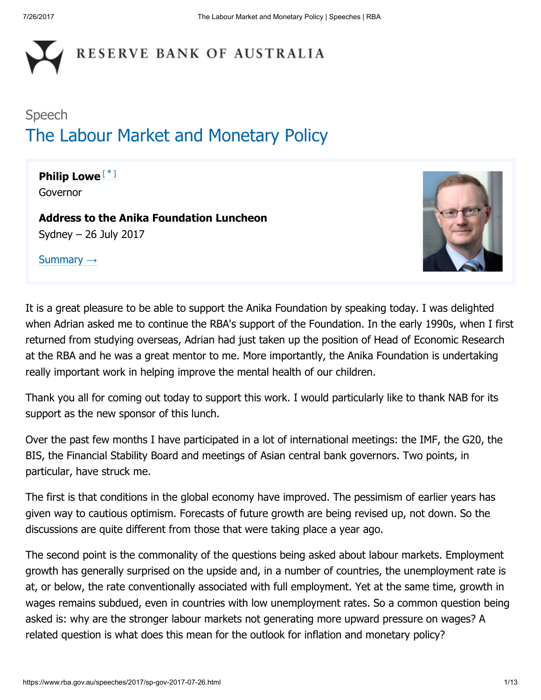

# Speech The Labour Market and Monetary Policy

#### <span id="page-0-0"></span>Philip Lowe<sup>[[\\*](#page-12-0)]</sup> Governor

Address to the Anika Foundation Luncheon Sydney – 26 July 2017

[Summary](https://www.rba.gov.au/speeches/2017/sp-gov-2017-07-26-summary.html) →



It is a great pleasure to be able to support the Anika Foundation by speaking today. I was delighted when Adrian asked me to continue the RBA's support of the Foundation. In the early 1990s, when I first returned from studying overseas, Adrian had just taken up the position of Head of Economic Research at the RBA and he was a great mentor to me. More importantly, the Anika Foundation is undertaking really important work in helping improve the mental health of our children.

Thank you all for coming out today to support this work. I would particularly like to thank NAB for its support as the new sponsor of this lunch.

Over the past few months I have participated in a lot of international meetings: the IMF, the G20, the BIS, the Financial Stability Board and meetings of Asian central bank governors. Two points, in particular, have struck me.

The first is that conditions in the global economy have improved. The pessimism of earlier years has given way to cautious optimism. Forecasts of future growth are being revised up, not down. So the discussions are quite different from those that were taking place a year ago.

The second point is the commonality of the questions being asked about labour markets. Employment growth has generally surprised on the upside and, in a number of countries, the unemployment rate is at, or below, the rate conventionally associated with full employment. Yet at the same time, growth in wages remains subdued, even in countries with low unemployment rates. So a common question being asked is: why are the stronger labour markets not generating more upward pressure on wages? A related question is what does this mean for the outlook for inflation and monetary policy?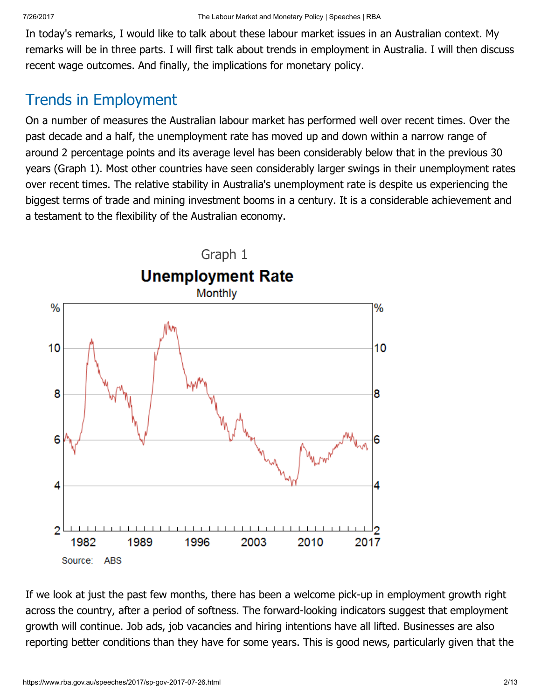In today's remarks, I would like to talk about these labour market issues in an Australian context. My remarks will be in three parts. I will first talk about trends in employment in Australia. I will then discuss recent wage outcomes. And finally, the implications for monetary policy.

## Trends in Employment

On a number of measures the Australian labour market has performed well over recent times. Over the past decade and a half, the unemployment rate has moved up and down within a narrow range of around 2 percentage points and its average level has been considerably below that in the previous 30 years (Graph 1). Most other countries have seen considerably larger swings in their unemployment rates over recent times. The relative stability in Australia's unemployment rate is despite us experiencing the biggest terms of trade and mining investment booms in a century. It is a considerable achievement and a testament to the flexibility of the Australian economy.



If we look at just the past few months, there has been a welcome pick-up in employment growth right across the country, after a period of softness. The forward-looking indicators suggest that employment growth will continue. Job ads, job vacancies and hiring intentions have all lifted. Businesses are also reporting better conditions than they have for some years. This is good news, particularly given that the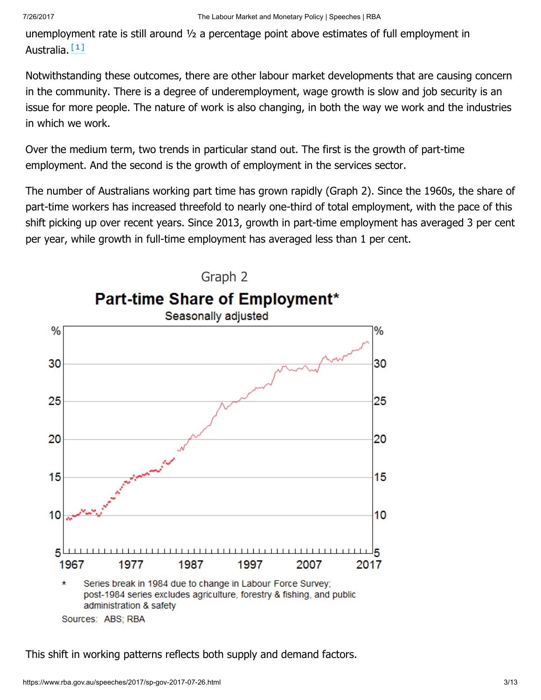<span id="page-2-0"></span>unemployment rate is still around ½ a percentage point above estimates of full employment in Australia. [\[1\]](#page-12-1)

Notwithstanding these outcomes, there are other labour market developments that are causing concern in the community. There is a degree of underemployment, wage growth is slow and job security is an issue for more people. The nature of work is also changing, in both the way we work and the industries in which we work.

Over the medium term, two trends in particular stand out. The first is the growth of part-time employment. And the second is the growth of employment in the services sector.

The number of Australians working part time has grown rapidly (Graph 2). Since the 1960s, the share of part-time workers has increased threefold to nearly one-third of total employment, with the pace of this shift picking up over recent years. Since 2013, growth in part-time employment has averaged 3 per cent per year, while growth in full-time employment has averaged less than 1 per cent.



This shift in working patterns reflects both supply and demand factors.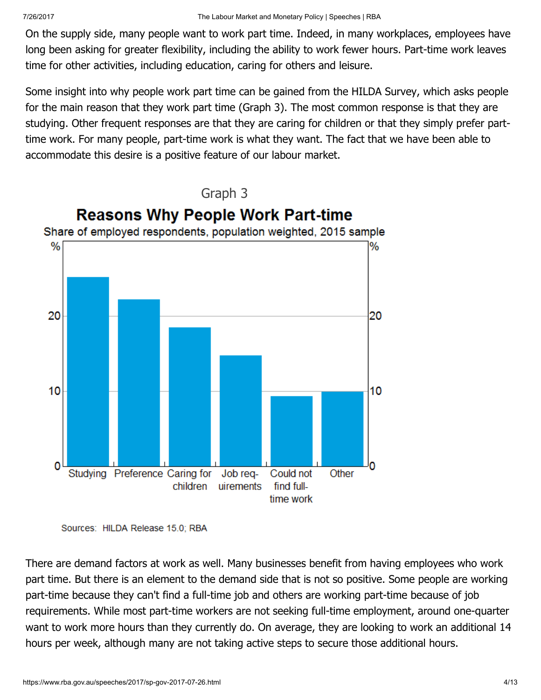On the supply side, many people want to work part time. Indeed, in many workplaces, employees have long been asking for greater flexibility, including the ability to work fewer hours. Part-time work leaves time for other activities, including education, caring for others and leisure.

Some insight into why people work part time can be gained from the HILDA Survey, which asks people for the main reason that they work part time (Graph 3). The most common response is that they are studying. Other frequent responses are that they are caring for children or that they simply prefer parttime work. For many people, part-time work is what they want. The fact that we have been able to accommodate this desire is a positive feature of our labour market.



Sources: HILDA Release 15.0; RBA

There are demand factors at work as well. Many businesses benefit from having employees who work part time. But there is an element to the demand side that is not so positive. Some people are working part-time because they can't find a full-time job and others are working part-time because of job requirements. While most part-time workers are not seeking full-time employment, around one-quarter want to work more hours than they currently do. On average, they are looking to work an additional 14 hours per week, although many are not taking active steps to secure those additional hours.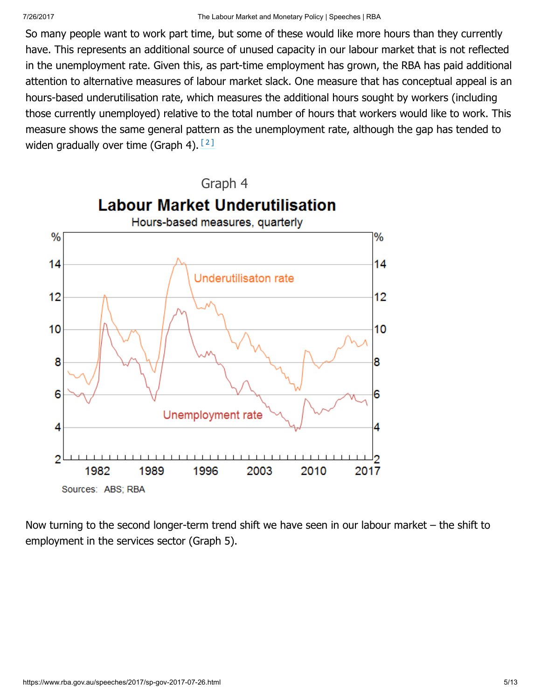So many people want to work part time, but some of these would like more hours than they currently have. This represents an additional source of unused capacity in our labour market that is not reflected in the unemployment rate. Given this, as part-time employment has grown, the RBA has paid additional attention to alternative measures of labour market slack. One measure that has conceptual appeal is an hours-based underutilisation rate, which measures the additional hours sought by workers (including those currently unemployed) relative to the total number of hours that workers would like to work. This measure shows the same general pattern as the unemployment rate, although the gap has tended to widen gradually over time (Graph 4). [\[2\]](#page-12-2)

<span id="page-4-0"></span>

Now turning to the second longer-term trend shift we have seen in our labour market – the shift to employment in the services sector (Graph 5).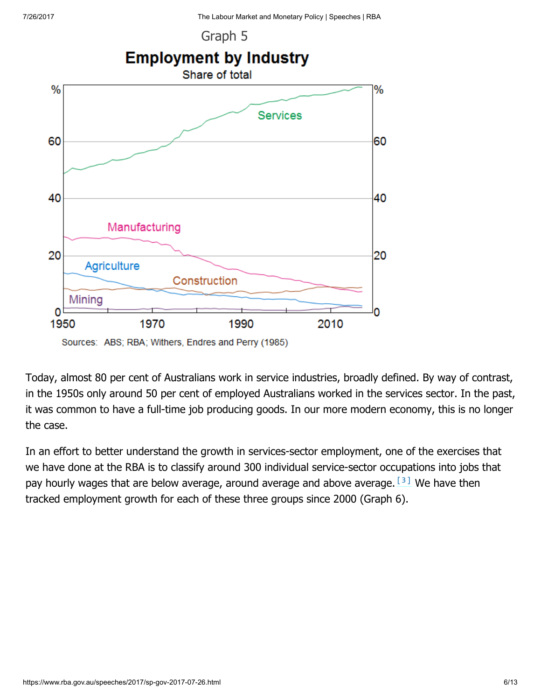Graph 5



Today, almost 80 per cent of Australians work in service industries, broadly defined. By way of contrast, in the 1950s only around 50 per cent of employed Australians worked in the services sector. In the past, it was common to have a full-time job producing goods. In our more modern economy, this is no longer the case.

<span id="page-5-0"></span>In an effort to better understand the growth in services-sector employment, one of the exercises that we have done at the RBA is to classify around 300 individual service-sector occupations into jobs that pay hourly wages that are below average, around average and above average.  $[3]$  We have then tracked employment growth for each of these three groups since 2000 (Graph 6).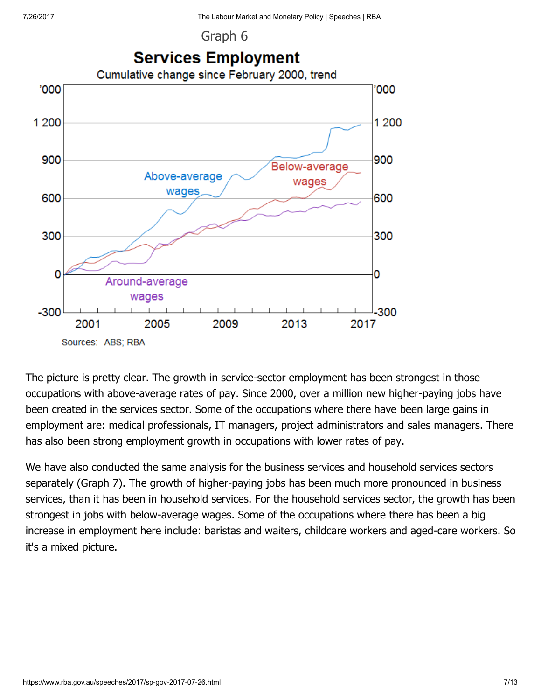Graph 6



The picture is pretty clear. The growth in service-sector employment has been strongest in those occupations with above-average rates of pay. Since 2000, over a million new higher-paying jobs have been created in the services sector. Some of the occupations where there have been large gains in employment are: medical professionals, IT managers, project administrators and sales managers. There has also been strong employment growth in occupations with lower rates of pay.

We have also conducted the same analysis for the business services and household services sectors separately (Graph 7). The growth of higher-paying jobs has been much more pronounced in business services, than it has been in household services. For the household services sector, the growth has been strongest in jobs with below-average wages. Some of the occupations where there has been a big increase in employment here include: baristas and waiters, childcare workers and aged-care workers. So it's a mixed picture.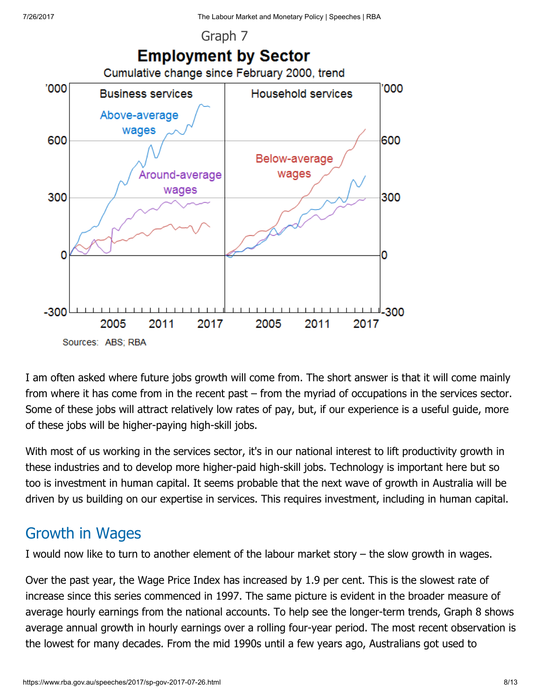

I am often asked where future jobs growth will come from. The short answer is that it will come mainly from where it has come from in the recent past – from the myriad of occupations in the services sector. Some of these jobs will attract relatively low rates of pay, but, if our experience is a useful guide, more of these jobs will be higher-paying high-skill jobs.

With most of us working in the services sector, it's in our national interest to lift productivity growth in these industries and to develop more higher-paid high-skill jobs. Technology is important here but so too is investment in human capital. It seems probable that the next wave of growth in Australia will be driven by us building on our expertise in services. This requires investment, including in human capital.

### Growth in Wages

I would now like to turn to another element of the labour market story – the slow growth in wages.

Over the past year, the Wage Price Index has increased by 1.9 per cent. This is the slowest rate of increase since this series commenced in 1997. The same picture is evident in the broader measure of average hourly earnings from the national accounts. To help see the longer-term trends, Graph 8 shows average annual growth in hourly earnings over a rolling four-year period. The most recent observation is the lowest for many decades. From the mid 1990s until a few years ago, Australians got used to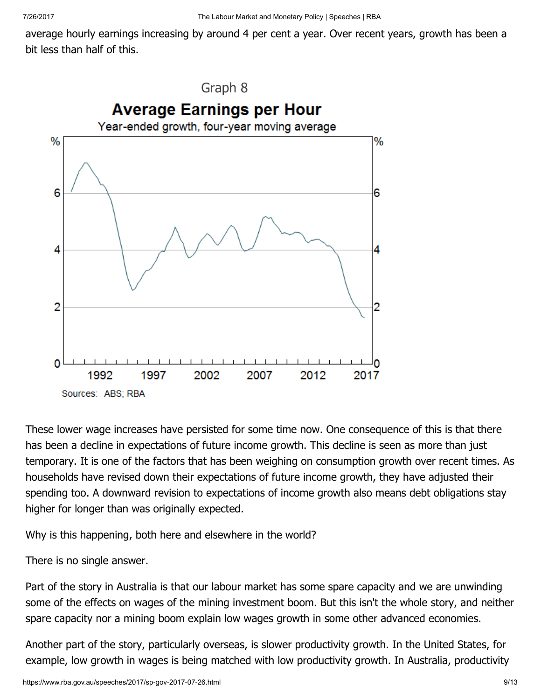average hourly earnings increasing by around 4 per cent a year. Over recent years, growth has been a bit less than half of this.



These lower wage increases have persisted for some time now. One consequence of this is that there has been a decline in expectations of future income growth. This decline is seen as more than just temporary. It is one of the factors that has been weighing on consumption growth over recent times. As households have revised down their expectations of future income growth, they have adjusted their spending too. A downward revision to expectations of income growth also means debt obligations stay higher for longer than was originally expected.

Why is this happening, both here and elsewhere in the world?

There is no single answer.

Part of the story in Australia is that our labour market has some spare capacity and we are unwinding some of the effects on wages of the mining investment boom. But this isn't the whole story, and neither spare capacity nor a mining boom explain low wages growth in some other advanced economies.

Another part of the story, particularly overseas, is slower productivity growth. In the United States, for example, low growth in wages is being matched with low productivity growth. In Australia, productivity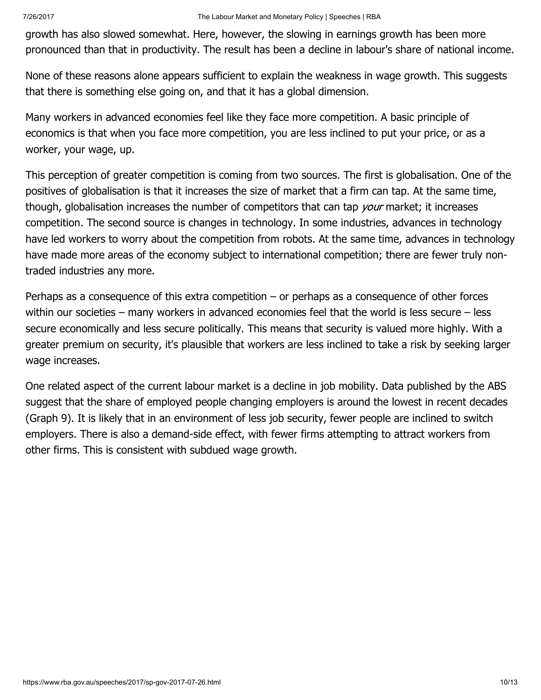growth has also slowed somewhat. Here, however, the slowing in earnings growth has been more pronounced than that in productivity. The result has been a decline in labour's share of national income.

None of these reasons alone appears sufficient to explain the weakness in wage growth. This suggests that there is something else going on, and that it has a global dimension.

Many workers in advanced economies feel like they face more competition. A basic principle of economics is that when you face more competition, you are less inclined to put your price, or as a worker, your wage, up.

This perception of greater competition is coming from two sources. The first is globalisation. One of the positives of globalisation is that it increases the size of market that a firm can tap. At the same time, though, globalisation increases the number of competitors that can tap your market; it increases competition. The second source is changes in technology. In some industries, advances in technology have led workers to worry about the competition from robots. At the same time, advances in technology have made more areas of the economy subject to international competition; there are fewer truly nontraded industries any more.

Perhaps as a consequence of this extra competition – or perhaps as a consequence of other forces within our societies – many workers in advanced economies feel that the world is less secure – less secure economically and less secure politically. This means that security is valued more highly. With a greater premium on security, it's plausible that workers are less inclined to take a risk by seeking larger wage increases.

One related aspect of the current labour market is a decline in job mobility. Data published by the ABS suggest that the share of employed people changing employers is around the lowest in recent decades (Graph 9). It is likely that in an environment of less job security, fewer people are inclined to switch employers. There is also a demand-side effect, with fewer firms attempting to attract workers from other firms. This is consistent with subdued wage growth.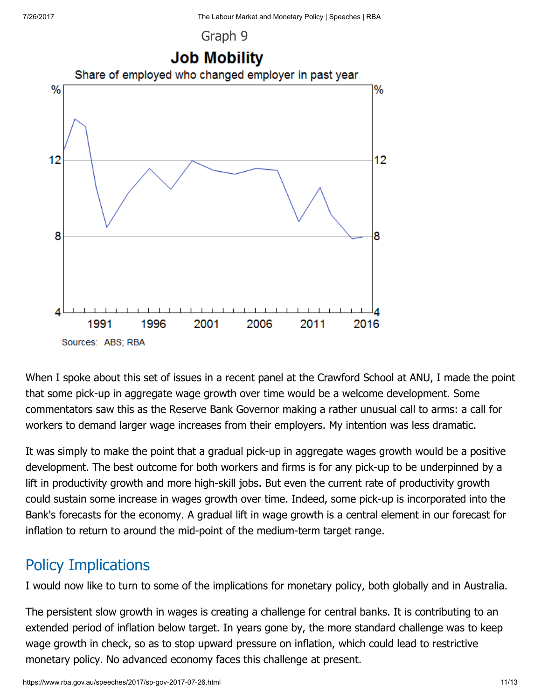



When I spoke about this set of issues in a recent panel at the Crawford School at ANU, I made the point that some pick-up in aggregate wage growth over time would be a welcome development. Some commentators saw this as the Reserve Bank Governor making a rather unusual call to arms: a call for workers to demand larger wage increases from their employers. My intention was less dramatic.

It was simply to make the point that a gradual pick-up in aggregate wages growth would be a positive development. The best outcome for both workers and firms is for any pick-up to be underpinned by a lift in productivity growth and more high-skill jobs. But even the current rate of productivity growth could sustain some increase in wages growth over time. Indeed, some pick-up is incorporated into the Bank's forecasts for the economy. A gradual lift in wage growth is a central element in our forecast for inflation to return to around the mid-point of the medium-term target range.

### Policy Implications

I would now like to turn to some of the implications for monetary policy, both globally and in Australia.

The persistent slow growth in wages is creating a challenge for central banks. It is contributing to an extended period of inflation below target. In years gone by, the more standard challenge was to keep wage growth in check, so as to stop upward pressure on inflation, which could lead to restrictive monetary policy. No advanced economy faces this challenge at present.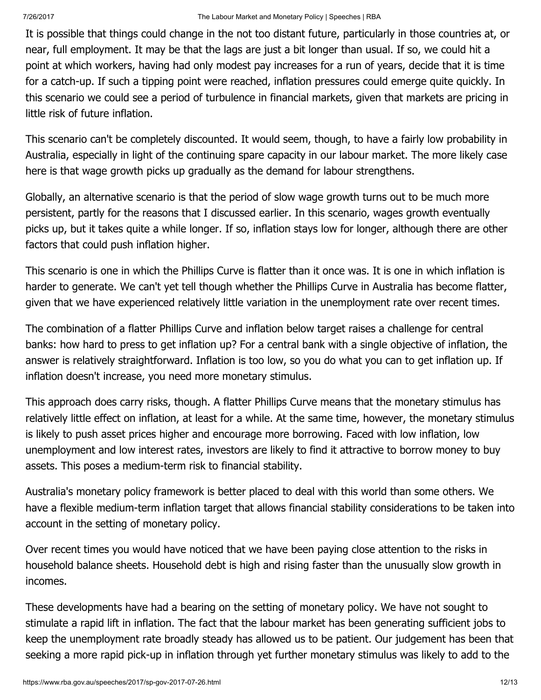It is possible that things could change in the not too distant future, particularly in those countries at, or near, full employment. It may be that the lags are just a bit longer than usual. If so, we could hit a point at which workers, having had only modest pay increases for a run of years, decide that it is time for a catch-up. If such a tipping point were reached, inflation pressures could emerge quite quickly. In this scenario we could see a period of turbulence in financial markets, given that markets are pricing in little risk of future inflation.

This scenario can't be completely discounted. It would seem, though, to have a fairly low probability in Australia, especially in light of the continuing spare capacity in our labour market. The more likely case here is that wage growth picks up gradually as the demand for labour strengthens.

Globally, an alternative scenario is that the period of slow wage growth turns out to be much more persistent, partly for the reasons that I discussed earlier. In this scenario, wages growth eventually picks up, but it takes quite a while longer. If so, inflation stays low for longer, although there are other factors that could push inflation higher.

This scenario is one in which the Phillips Curve is flatter than it once was. It is one in which inflation is harder to generate. We can't yet tell though whether the Phillips Curve in Australia has become flatter, given that we have experienced relatively little variation in the unemployment rate over recent times.

The combination of a flatter Phillips Curve and inflation below target raises a challenge for central banks: how hard to press to get inflation up? For a central bank with a single objective of inflation, the answer is relatively straightforward. Inflation is too low, so you do what you can to get inflation up. If inflation doesn't increase, you need more monetary stimulus.

This approach does carry risks, though. A flatter Phillips Curve means that the monetary stimulus has relatively little effect on inflation, at least for a while. At the same time, however, the monetary stimulus is likely to push asset prices higher and encourage more borrowing. Faced with low inflation, low unemployment and low interest rates, investors are likely to find it attractive to borrow money to buy assets. This poses a medium-term risk to financial stability.

Australia's monetary policy framework is better placed to deal with this world than some others. We have a flexible medium-term inflation target that allows financial stability considerations to be taken into account in the setting of monetary policy.

Over recent times you would have noticed that we have been paying close attention to the risks in household balance sheets. Household debt is high and rising faster than the unusually slow growth in incomes.

These developments have had a bearing on the setting of monetary policy. We have not sought to stimulate a rapid lift in inflation. The fact that the labour market has been generating sufficient jobs to keep the unemployment rate broadly steady has allowed us to be patient. Our judgement has been that seeking a more rapid pick-up in inflation through yet further monetary stimulus was likely to add to the